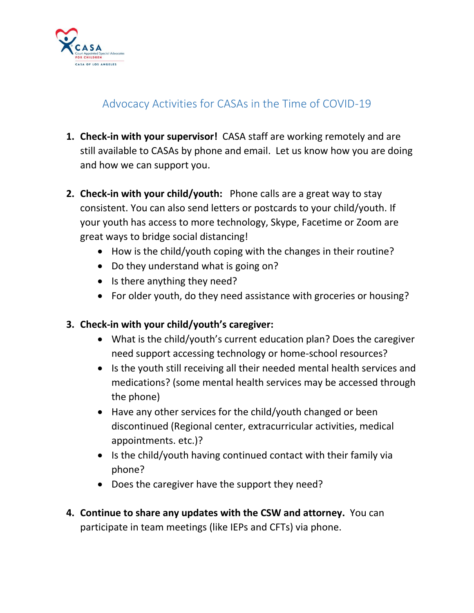

## Advocacy Activities for CASAs in the Time of COVID-19

- **1. Check-in with your supervisor!** CASA staff are working remotely and are still available to CASAs by phone and email. Let us know how you are doing and how we can support you.
- **2. Check-in with your child/youth:** Phone calls are a great way to stay consistent. You can also send letters or postcards to your child/youth. If your youth has access to more technology, Skype, Facetime or Zoom are great ways to bridge social distancing!
	- How is the child/youth coping with the changes in their routine?
	- Do they understand what is going on?
	- Is there anything they need?
	- For older youth, do they need assistance with groceries or housing?

## **3. Check-in with your child/youth's caregiver:**

- What is the child/youth's current education plan? Does the caregiver need support accessing technology or home-school resources?
- Is the youth still receiving all their needed mental health services and medications? (some mental health services may be accessed through the phone)
- Have any other services for the child/youth changed or been discontinued (Regional center, extracurricular activities, medical appointments. etc.)?
- Is the child/youth having continued contact with their family via phone?
- Does the caregiver have the support they need?
- **4. Continue to share any updates with the CSW and attorney.** You can participate in team meetings (like IEPs and CFTs) via phone.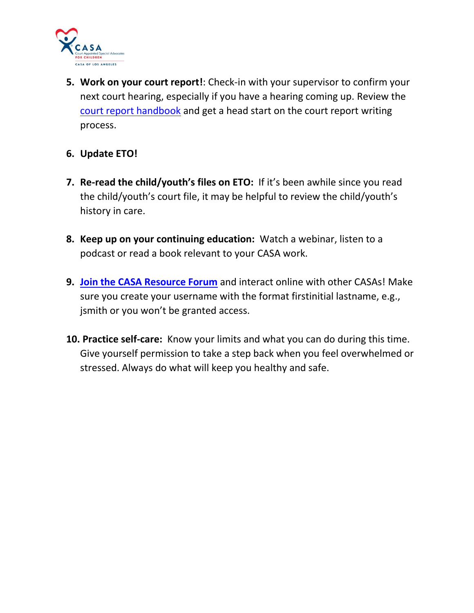

**5. Work on your court report!**: Check-in with your supervisor to confirm your next court hearing, especially if you have a hearing coming up. Review the [court report handbook](https://casala.org/casacourtreports/) and get a head start on the court report writing process.

## **6. Update ETO!**

- **7. Re-read the child/youth's files on ETO:** If it's been awhile since you read the child/youth's court file, it may be helpful to review the child/youth's history in care.
- **8. Keep up on your continuing education:** Watch a webinar, listen to a podcast or read a book relevant to your CASA work.
- **9. [Join the CASA Resource Forum](https://casala.org/muut-casa-forum/)** and interact online with other CASAs! Make sure you create your username with the format firstinitial lastname, e.g., jsmith or you won't be granted access.
- **10. Practice self-care:** Know your limits and what you can do during this time. Give yourself permission to take a step back when you feel overwhelmed or stressed. Always do what will keep you healthy and safe.